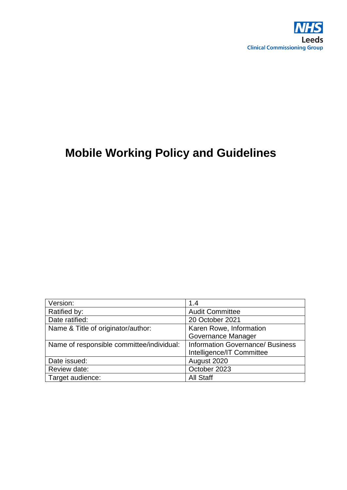

# **Mobile Working Policy and Guidelines**

| Version:                                  | 1.4                                     |
|-------------------------------------------|-----------------------------------------|
| Ratified by:                              | <b>Audit Committee</b>                  |
| Date ratified:                            | 20 October 2021                         |
| Name & Title of originator/author:        | Karen Rowe, Information                 |
|                                           | Governance Manager                      |
| Name of responsible committee/individual: | <b>Information Governance/ Business</b> |
|                                           | Intelligence/IT Committee               |
| Date issued:                              | August 2020                             |
| Review date:                              | October 2023                            |
| Target audience:                          | <b>All Staff</b>                        |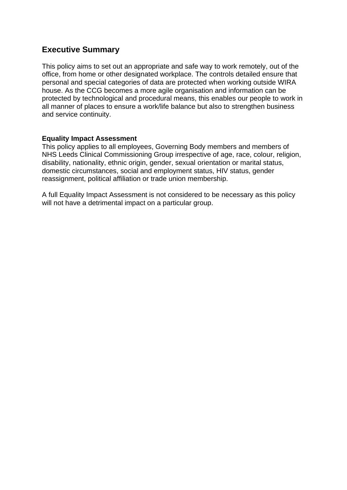# **Executive Summary**

This policy aims to set out an appropriate and safe way to work remotely, out of the office, from home or other designated workplace. The controls detailed ensure that personal and special categories of data are protected when working outside WIRA house. As the CCG becomes a more agile organisation and information can be protected by technological and procedural means, this enables our people to work in all manner of places to ensure a work/life balance but also to strengthen business and service continuity.

#### <span id="page-1-0"></span>**Equality Impact Assessment**

This policy applies to all employees, Governing Body members and members of NHS Leeds Clinical Commissioning Group irrespective of age, race, colour, religion, disability, nationality, ethnic origin, gender, sexual orientation or marital status, domestic circumstances, social and employment status, HIV status, gender reassignment, political affiliation or trade union membership.

A full Equality Impact Assessment is not considered to be necessary as this policy will not have a detrimental impact on a particular group.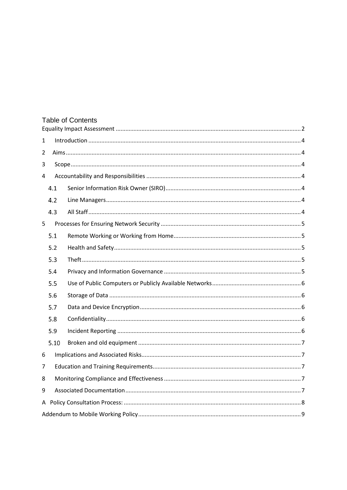| <b>Table of Contents</b> |      |  |  |  |  |
|--------------------------|------|--|--|--|--|
| 1                        |      |  |  |  |  |
| 2                        |      |  |  |  |  |
| 3                        |      |  |  |  |  |
| 4                        |      |  |  |  |  |
|                          | 4.1  |  |  |  |  |
|                          | 4.2  |  |  |  |  |
|                          | 4.3  |  |  |  |  |
| 5                        |      |  |  |  |  |
|                          | 5.1  |  |  |  |  |
|                          | 5.2  |  |  |  |  |
|                          | 5.3  |  |  |  |  |
|                          | 5.4  |  |  |  |  |
|                          | 5.5  |  |  |  |  |
|                          | 5.6  |  |  |  |  |
|                          | 5.7  |  |  |  |  |
|                          | 5.8  |  |  |  |  |
|                          | 5.9  |  |  |  |  |
|                          | 5.10 |  |  |  |  |
| 6                        |      |  |  |  |  |
| 7                        |      |  |  |  |  |
| 8                        |      |  |  |  |  |
| 9                        |      |  |  |  |  |
|                          |      |  |  |  |  |
|                          |      |  |  |  |  |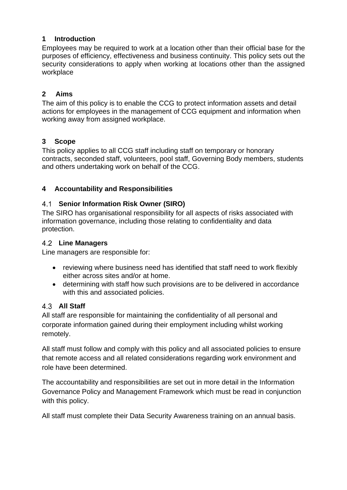## <span id="page-3-0"></span>**1 Introduction**

Employees may be required to work at a location other than their official base for the purposes of efficiency, effectiveness and business continuity. This policy sets out the security considerations to apply when working at locations other than the assigned workplace

#### <span id="page-3-1"></span>**2 Aims**

The aim of this policy is to enable the CCG to protect information assets and detail actions for employees in the management of CCG equipment and information when working away from assigned workplace.

# <span id="page-3-2"></span>**3 Scope**

This policy applies to all CCG staff including staff on temporary or honorary contracts, seconded staff, volunteers, pool staff, Governing Body members, students and others undertaking work on behalf of the CCG.

# <span id="page-3-3"></span>**4 Accountability and Responsibilities**

# <span id="page-3-4"></span>**Senior Information Risk Owner (SIRO)**

The SIRO has organisational responsibility for all aspects of risks associated with information governance, including those relating to confidentiality and data protection.

#### <span id="page-3-5"></span>**Line Managers**

Line managers are responsible for:

- reviewing where business need has identified that staff need to work flexibly either across sites and/or at home.
- determining with staff how such provisions are to be delivered in accordance with this and associated policies.

#### <span id="page-3-6"></span>**All Staff**

All staff are responsible for maintaining the confidentiality of all personal and corporate information gained during their employment including whilst working remotely.

All staff must follow and comply with this policy and all associated policies to ensure that remote access and all related considerations regarding work environment and role have been determined.

The accountability and responsibilities are set out in more detail in the Information Governance Policy and Management Framework which must be read in conjunction with this policy.

All staff must complete their Data Security Awareness training on an annual basis.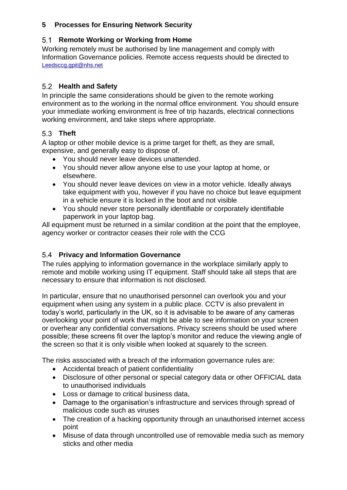# <span id="page-4-0"></span>**5 Processes for Ensuring Network Security**

# <span id="page-4-1"></span>**5.1 Remote Working or Working from Home**

Working remotely must be authorised by line management and comply with Information Governance policies. Remote access requests should be directed to [Leedsccg.gpit@nhs.net](mailto:Leedsccg.gpit@nhs.net)

# <span id="page-4-2"></span>**Health and Safety**

In principle the same considerations should be given to the remote working environment as to the working in the normal office environment. You should ensure your immediate working environment is free of trip hazards, electrical connections working environment, and take steps where appropriate.

# <span id="page-4-3"></span>**Theft**

A laptop or other mobile device is a prime target for theft, as they are small, expensive, and generally easy to dispose of.

- You should never leave devices unattended.
- You should never allow anyone else to use your laptop at home, or elsewhere.
- You should never leave devices on view in a motor vehicle. Ideally always take equipment with you, however if you have no choice but leave equipment in a vehicle ensure it is locked in the boot and not visible
- You should never store personally identifiable or corporately identifiable paperwork in your laptop bag.

All equipment must be returned in a similar condition at the point that the employee, agency worker or contractor ceases their role with the CCG

# <span id="page-4-4"></span>**Privacy and Information Governance**

The rules applying to information governance in the workplace similarly apply to remote and mobile working using IT equipment. Staff should take all steps that are necessary to ensure that information is not disclosed.

In particular, ensure that no unauthorised personnel can overlook you and your equipment when using any system in a public place. CCTV is also prevalent in today's world, particularly in the UK, so it is advisable to be aware of any cameras overlooking your point of work that might be able to see information on your screen or overhear any confidential conversations. Privacy screens should be used where possible; these screens fit over the laptop's monitor and reduce the viewing angle of the screen so that it is only visible when looked at squarely to the screen.

The risks associated with a breach of the information governance rules are:

- Accidental breach of patient confidentiality
- Disclosure of other personal or special category data or other OFFICIAL data to unauthorised individuals
- Loss or damage to critical business data,
- Damage to the organisation's infrastructure and services through spread of malicious code such as viruses
- The creation of a hacking opportunity through an unauthorised internet access point
- Misuse of data through uncontrolled use of removable media such as memory sticks and other media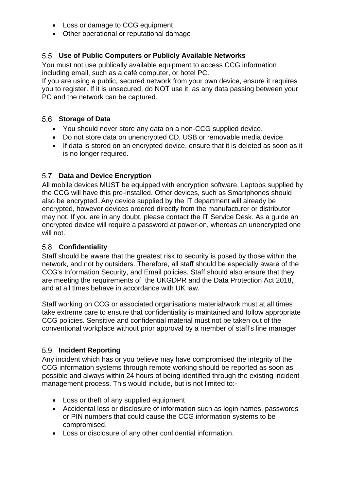- Loss or damage to CCG equipment
- Other operational or reputational damage

# <span id="page-5-0"></span>**Use of Public Computers or Publicly Available Networks**

You must not use publically available equipment to access CCG information including email, such as a café computer, or hotel PC.

If you are using a public, secured network from your own device, ensure it requires you to register. If it is unsecured, do NOT use it, as any data passing between your PC and the network can be captured.

#### <span id="page-5-1"></span>**Storage of Data**

- You should never store any data on a non-CCG supplied device.
- Do not store data on unencrypted CD, USB or removable media device.
- If data is stored on an encrypted device, ensure that it is deleted as soon as it is no longer required.

# <span id="page-5-2"></span>**Data and Device Encryption**

All mobile devices MUST be equipped with encryption software. Laptops supplied by the CCG will have this pre-installed. Other devices, such as Smartphones should also be encrypted. Any device supplied by the IT department will already be encrypted, however devices ordered directly from the manufacturer or distributor may not. If you are in any doubt, please contact the IT Service Desk. As a guide an encrypted device will require a password at power-on, whereas an unencrypted one will not.

#### <span id="page-5-3"></span>**Confidentiality**

Staff should be aware that the greatest risk to security is posed by those within the network, and not by outsiders. Therefore, all staff should be especially aware of the CCG's Information Security, and Email policies. Staff should also ensure that they are meeting the requirements of the UKGDPR and the Data Protection Act 2018, and at all times behave in accordance with UK law.

Staff working on CCG or associated organisations material/work must at all times take extreme care to ensure that confidentiality is maintained and follow appropriate CCG policies. Sensitive and confidential material must not be taken out of the conventional workplace without prior approval by a member of staff's line manager

# <span id="page-5-4"></span>**Incident Reporting**

Any incident which has or you believe may have compromised the integrity of the CCG information systems through remote working should be reported as soon as possible and always within 24 hours of being identified through the existing incident management process. This would include, but is not limited to:-

- Loss or theft of any supplied equipment
- Accidental loss or disclosure of information such as login names, passwords or PIN numbers that could cause the CCG information systems to be compromised.
- Loss or disclosure of any other confidential information.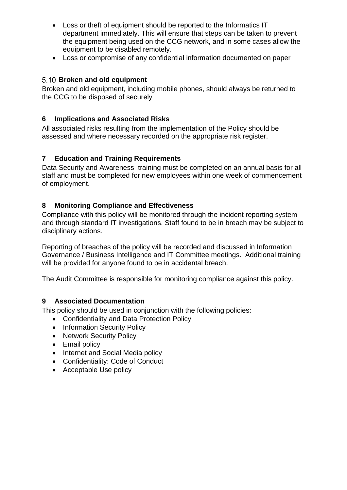- Loss or theft of equipment should be reported to the Informatics IT department immediately. This will ensure that steps can be taken to prevent the equipment being used on the CCG network, and in some cases allow the equipment to be disabled remotely.
- Loss or compromise of any confidential information documented on paper

# <span id="page-6-0"></span>**Broken and old equipment**

Broken and old equipment, including mobile phones, should always be returned to the CCG to be disposed of securely

# <span id="page-6-1"></span>**6 Implications and Associated Risks**

All associated risks resulting from the implementation of the Policy should be assessed and where necessary recorded on the appropriate risk register.

# <span id="page-6-2"></span>**7 Education and Training Requirements**

Data Security and Awareness training must be completed on an annual basis for all staff and must be completed for new employees within one week of commencement of employment.

#### <span id="page-6-3"></span>**8 Monitoring Compliance and Effectiveness**

Compliance with this policy will be monitored through the incident reporting system and through standard IT investigations. Staff found to be in breach may be subject to disciplinary actions.

Reporting of breaches of the policy will be recorded and discussed in Information Governance / Business Intelligence and IT Committee meetings. Additional training will be provided for anyone found to be in accidental breach.

<span id="page-6-4"></span>The Audit Committee is responsible for monitoring compliance against this policy.

#### **9 Associated Documentation**

This policy should be used in conjunction with the following policies:

- Confidentiality and Data Protection Policy
- Information Security Policy
- Network Security Policy
- Email policy
- Internet and Social Media policy
- Confidentiality: Code of Conduct
- Acceptable Use policy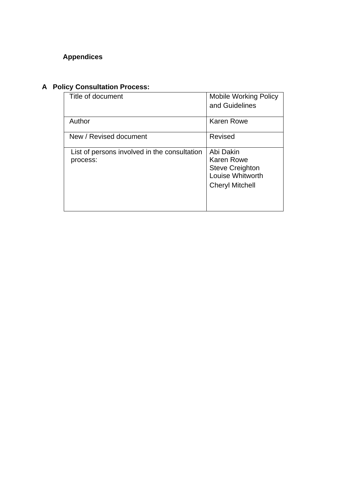# **Appendices**

# <span id="page-7-0"></span>**A Policy Consultation Process:**

| Title of document                                        | <b>Mobile Working Policy</b><br>and Guidelines                                                         |
|----------------------------------------------------------|--------------------------------------------------------------------------------------------------------|
| Author                                                   | <b>Karen Rowe</b>                                                                                      |
| New / Revised document                                   | Revised                                                                                                |
| List of persons involved in the consultation<br>process: | Abi Dakin<br><b>Karen Rowe</b><br><b>Steve Creighton</b><br>Louise Whitworth<br><b>Cheryl Mitchell</b> |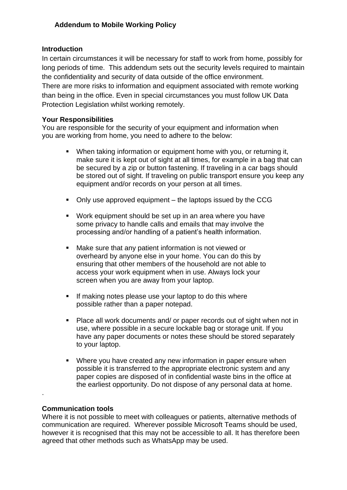#### <span id="page-8-0"></span>**Introduction**

In certain circumstances it will be necessary for staff to work from home, possibly for long periods of time. This addendum sets out the security levels required to maintain the confidentiality and security of data outside of the office environment. There are more risks to information and equipment associated with remote working than being in the office. Even in special circumstances you must follow UK Data Protection Legislation whilst working remotely.

#### **Your Responsibilities**

You are responsible for the security of your equipment and information when you are working from home, you need to adhere to the below:

- When taking information or equipment home with you, or returning it, make sure it is kept out of sight at all times, for example in a bag that can be secured by a zip or button fastening. If traveling in a car bags should be stored out of sight. If traveling on public transport ensure you keep any equipment and/or records on your person at all times.
- Only use approved equipment the laptops issued by the CCG
- Work equipment should be set up in an area where you have some privacy to handle calls and emails that may involve the processing and/or handling of a patient's health information.
- Make sure that any patient information is not viewed or overheard by anyone else in your home. You can do this by ensuring that other members of the household are not able to access your work equipment when in use. Always lock your screen when you are away from your laptop.
- **EXECT** If making notes please use your laptop to do this where possible rather than a paper notepad.
- Place all work documents and/ or paper records out of sight when not in use, where possible in a secure lockable bag or storage unit. If you have any paper documents or notes these should be stored separately to your laptop.
- Where you have created any new information in paper ensure when possible it is transferred to the appropriate electronic system and any paper copies are disposed of in confidential waste bins in the office at the earliest opportunity. Do not dispose of any personal data at home.

#### **Communication tools**

.

Where it is not possible to meet with colleagues or patients, alternative methods of communication are required. Wherever possible Microsoft Teams should be used, however it is recognised that this may not be accessible to all. It has therefore been agreed that other methods such as WhatsApp may be used.